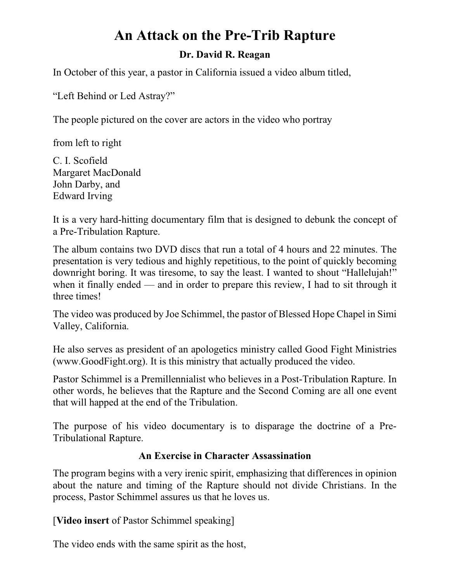# **An Attack on the Pre-Trib Rapture**

#### **Dr. David R. Reagan**

In October of this year, a pastor in California issued a video album titled,

"Left Behind or Led Astray?"

The people pictured on the cover are actors in the video who portray

from left to right

C. I. Scofield Margaret MacDonald John Darby, and Edward Irving

It is a very hard-hitting documentary film that is designed to debunk the concept of a Pre-Tribulation Rapture.

The album contains two DVD discs that run a total of 4 hours and 22 minutes. The presentation is very tedious and highly repetitious, to the point of quickly becoming downright boring. It was tiresome, to say the least. I wanted to shout "Hallelujah!" when it finally ended — and in order to prepare this review, I had to sit through it three times!

The video was produced by Joe Schimmel, the pastor of Blessed Hope Chapel in Simi Valley, California.

He also serves as president of an apologetics ministry called Good Fight Ministries (www.GoodFight.org). It is this ministry that actually produced the video.

Pastor Schimmel is a Premillennialist who believes in a Post-Tribulation Rapture. In other words, he believes that the Rapture and the Second Coming are all one event that will happed at the end of the Tribulation.

The purpose of his video documentary is to disparage the doctrine of a Pre-Tribulational Rapture.

### **An Exercise in Character Assassination**

The program begins with a very irenic spirit, emphasizing that differences in opinion about the nature and timing of the Rapture should not divide Christians. In the process, Pastor Schimmel assures us that he loves us.

[**Video insert** of Pastor Schimmel speaking]

The video ends with the same spirit as the host,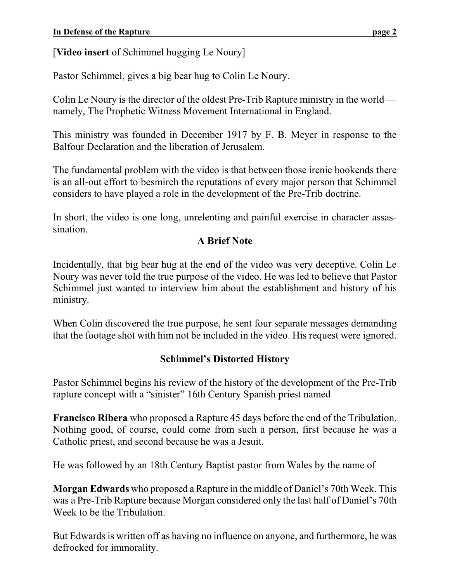[**Video insert** of Schimmel hugging Le Noury]

Pastor Schimmel, gives a big bear hug to Colin Le Noury.

Colin Le Noury is the director of the oldest Pre-Trib Rapture ministry in the world namely, The Prophetic Witness Movement International in England.

This ministry was founded in December 1917 by F. B. Meyer in response to the Balfour Declaration and the liberation of Jerusalem.

The fundamental problem with the video is that between those irenic bookends there is an all-out effort to besmirch the reputations of every major person that Schimmel considers to have played a role in the development of the Pre-Trib doctrine.

In short, the video is one long, unrelenting and painful exercise in character assassination.

## **A Brief Note**

Incidentally, that big bear hug at the end of the video was very deceptive. Colin Le Noury was never told the true purpose of the video. He was led to believe that Pastor Schimmel just wanted to interview him about the establishment and history of his ministry.

When Colin discovered the true purpose, he sent four separate messages demanding that the footage shot with him not be included in the video. His request were ignored.

# **Schimmel's Distorted History**

Pastor Schimmel begins his review of the history of the development of the Pre-Trib rapture concept with a "sinister" 16th Century Spanish priest named

**Francisco Ribera** who proposed a Rapture 45 days before the end of the Tribulation. Nothing good, of course, could come from such a person, first because he was a Catholic priest, and second because he was a Jesuit.

He was followed by an 18th Century Baptist pastor from Wales by the name of

**Morgan Edwards** who proposed a Rapture in the middle of Daniel's 70th Week. This was a Pre-Trib Rapture because Morgan considered only the last half of Daniel's 70th Week to be the Tribulation.

But Edwards is written off as having no influence on anyone, and furthermore, he was defrocked for immorality.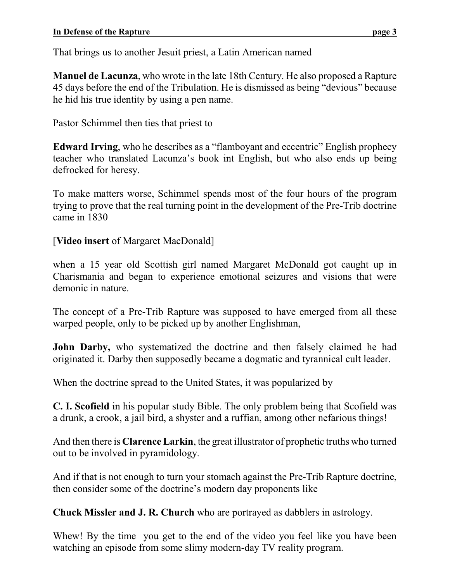That brings us to another Jesuit priest, a Latin American named

**Manuel de Lacunza**, who wrote in the late 18th Century. He also proposed a Rapture 45 days before the end of the Tribulation. He is dismissed as being "devious" because he hid his true identity by using a pen name.

Pastor Schimmel then ties that priest to

**Edward Irving**, who he describes as a "flamboyant and eccentric" English prophecy teacher who translated Lacunza's book int English, but who also ends up being defrocked for heresy.

To make matters worse, Schimmel spends most of the four hours of the program trying to prove that the real turning point in the development of the Pre-Trib doctrine came in 1830

[**Video insert** of Margaret MacDonald]

when a 15 year old Scottish girl named Margaret McDonald got caught up in Charismania and began to experience emotional seizures and visions that were demonic in nature.

The concept of a Pre-Trib Rapture was supposed to have emerged from all these warped people, only to be picked up by another Englishman,

**John Darby,** who systematized the doctrine and then falsely claimed he had originated it. Darby then supposedly became a dogmatic and tyrannical cult leader.

When the doctrine spread to the United States, it was popularized by

**C. I. Scofield** in his popular study Bible. The only problem being that Scofield was a drunk, a crook, a jail bird, a shyster and a ruffian, among other nefarious things!

And then there is **Clarence Larkin**, the great illustrator of prophetic truths who turned out to be involved in pyramidology.

And if that is not enough to turn your stomach against the Pre-Trib Rapture doctrine, then consider some of the doctrine's modern day proponents like

**Chuck Missler and J. R. Church** who are portrayed as dabblers in astrology.

Whew! By the time you get to the end of the video you feel like you have been watching an episode from some slimy modern-day TV reality program.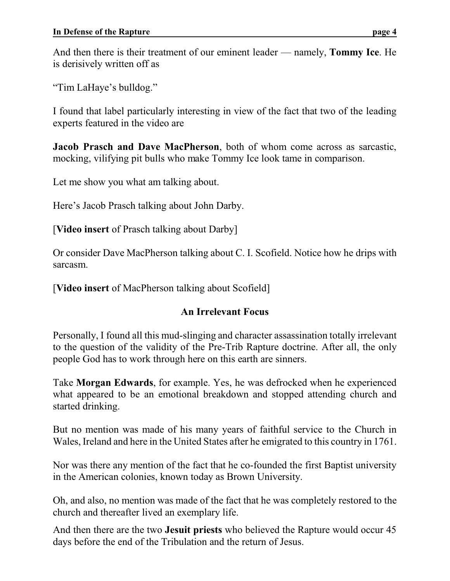And then there is their treatment of our eminent leader — namely, **Tommy Ice**. He is derisively written off as

"Tim LaHaye's bulldog."

I found that label particularly interesting in view of the fact that two of the leading experts featured in the video are

**Jacob Prasch and Dave MacPherson**, both of whom come across as sarcastic, mocking, vilifying pit bulls who make Tommy Ice look tame in comparison.

Let me show you what am talking about.

Here's Jacob Prasch talking about John Darby.

[**Video insert** of Prasch talking about Darby]

Or consider Dave MacPherson talking about C. I. Scofield. Notice how he drips with sarcasm.

[**Video insert** of MacPherson talking about Scofield]

# **An Irrelevant Focus**

Personally, I found all this mud-slinging and character assassination totally irrelevant to the question of the validity of the Pre-Trib Rapture doctrine. After all, the only people God has to work through here on this earth are sinners.

Take **Morgan Edwards**, for example. Yes, he was defrocked when he experienced what appeared to be an emotional breakdown and stopped attending church and started drinking.

But no mention was made of his many years of faithful service to the Church in Wales, Ireland and here in the United States after he emigrated to this country in 1761.

Nor was there any mention of the fact that he co-founded the first Baptist university in the American colonies, known today as Brown University.

Oh, and also, no mention was made of the fact that he was completely restored to the church and thereafter lived an exemplary life.

And then there are the two **Jesuit priests** who believed the Rapture would occur 45 days before the end of the Tribulation and the return of Jesus.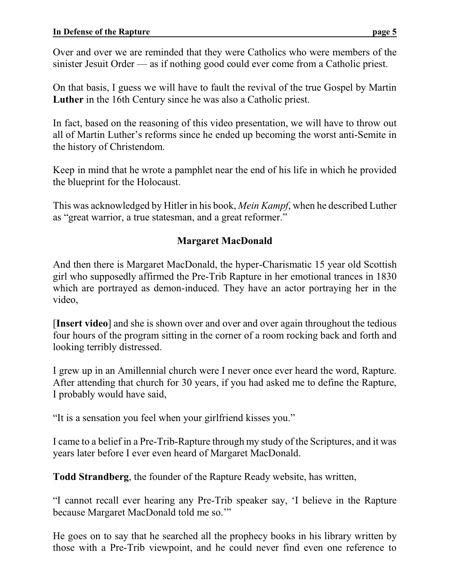Over and over we are reminded that they were Catholics who were members of the sinister Jesuit Order — as if nothing good could ever come from a Catholic priest.

On that basis, I guess we will have to fault the revival of the true Gospel by Martin **Luther** in the 16th Century since he was also a Catholic priest.

In fact, based on the reasoning of this video presentation, we will have to throw out all of Martin Luther's reforms since he ended up becoming the worst anti-Semite in the history of Christendom.

Keep in mind that he wrote a pamphlet near the end of his life in which he provided the blueprint for the Holocaust.

This was acknowledged by Hitler in his book, *Mein Kampf*, when he described Luther as "great warrior, a true statesman, and a great reformer."

# **Margaret MacDonald**

And then there is Margaret MacDonald, the hyper-Charismatic 15 year old Scottish girl who supposedly affirmed the Pre-Trib Rapture in her emotional trances in 1830 which are portrayed as demon-induced. They have an actor portraying her in the video,

[**Insert video**] and she is shown over and over and over again throughout the tedious four hours of the program sitting in the corner of a room rocking back and forth and looking terribly distressed.

I grew up in an Amillennial church were I never once ever heard the word, Rapture. After attending that church for 30 years, if you had asked me to define the Rapture, I probably would have said,

"It is a sensation you feel when your girlfriend kisses you."

I came to a belief in a Pre-Trib-Rapture through my study of the Scriptures, and it was years later before I ever even heard of Margaret MacDonald.

**Todd Strandberg**, the founder of the Rapture Ready website, has written,

"I cannot recall ever hearing any Pre-Trib speaker say, 'I believe in the Rapture because Margaret MacDonald told me so.'"

He goes on to say that he searched all the prophecy books in his library written by those with a Pre-Trib viewpoint, and he could never find even one reference to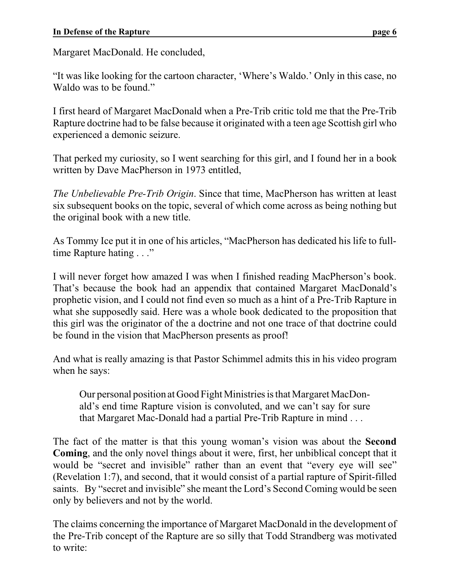Margaret MacDonald. He concluded,

"It was like looking for the cartoon character, 'Where's Waldo.' Only in this case, no Waldo was to be found."

I first heard of Margaret MacDonald when a Pre-Trib critic told me that the Pre-Trib Rapture doctrine had to be false because it originated with a teen age Scottish girl who experienced a demonic seizure.

That perked my curiosity, so I went searching for this girl, and I found her in a book written by Dave MacPherson in 1973 entitled,

*The Unbelievable Pre-Trib Origin*. Since that time, MacPherson has written at least six subsequent books on the topic, several of which come across as being nothing but the original book with a new title.

As Tommy Ice put it in one of his articles, "MacPherson has dedicated his life to fulltime Rapture hating . . ."

I will never forget how amazed I was when I finished reading MacPherson's book. That's because the book had an appendix that contained Margaret MacDonald's prophetic vision, and I could not find even so much as a hint of a Pre-Trib Rapture in what she supposedly said. Here was a whole book dedicated to the proposition that this girl was the originator of the a doctrine and not one trace of that doctrine could be found in the vision that MacPherson presents as proof!

And what is really amazing is that Pastor Schimmel admits this in his video program when he says:

Our personal position at Good Fight Ministries is that Margaret MacDonald's end time Rapture vision is convoluted, and we can't say for sure that Margaret Mac-Donald had a partial Pre-Trib Rapture in mind . . .

The fact of the matter is that this young woman's vision was about the **Second Coming**, and the only novel things about it were, first, her unbiblical concept that it would be "secret and invisible" rather than an event that "every eye will see" (Revelation 1:7), and second, that it would consist of a partial rapture of Spirit-filled saints. By "secret and invisible" she meant the Lord's Second Coming would be seen only by believers and not by the world.

The claims concerning the importance of Margaret MacDonald in the development of the Pre-Trib concept of the Rapture are so silly that Todd Strandberg was motivated to write: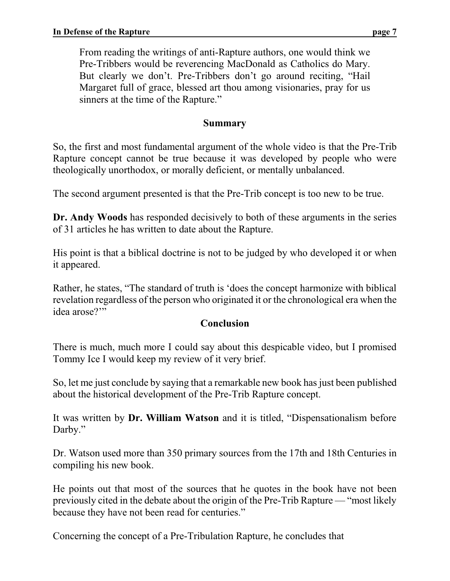From reading the writings of anti-Rapture authors, one would think we Pre-Tribbers would be reverencing MacDonald as Catholics do Mary. But clearly we don't. Pre-Tribbers don't go around reciting, "Hail Margaret full of grace, blessed art thou among visionaries, pray for us sinners at the time of the Rapture."

#### **Summary**

So, the first and most fundamental argument of the whole video is that the Pre-Trib Rapture concept cannot be true because it was developed by people who were theologically unorthodox, or morally deficient, or mentally unbalanced.

The second argument presented is that the Pre-Trib concept is too new to be true.

**Dr. Andy Woods** has responded decisively to both of these arguments in the series of 31 articles he has written to date about the Rapture.

His point is that a biblical doctrine is not to be judged by who developed it or when it appeared.

Rather, he states, "The standard of truth is 'does the concept harmonize with biblical revelation regardless of the person who originated it or the chronological era when the idea arose?'"

#### **Conclusion**

There is much, much more I could say about this despicable video, but I promised Tommy Ice I would keep my review of it very brief.

So, let me just conclude by saying that a remarkable new book has just been published about the historical development of the Pre-Trib Rapture concept.

It was written by **Dr. William Watson** and it is titled, "Dispensationalism before Darby."

Dr. Watson used more than 350 primary sources from the 17th and 18th Centuries in compiling his new book.

He points out that most of the sources that he quotes in the book have not been previously cited in the debate about the origin of the Pre-Trib Rapture — "most likely because they have not been read for centuries."

Concerning the concept of a Pre-Tribulation Rapture, he concludes that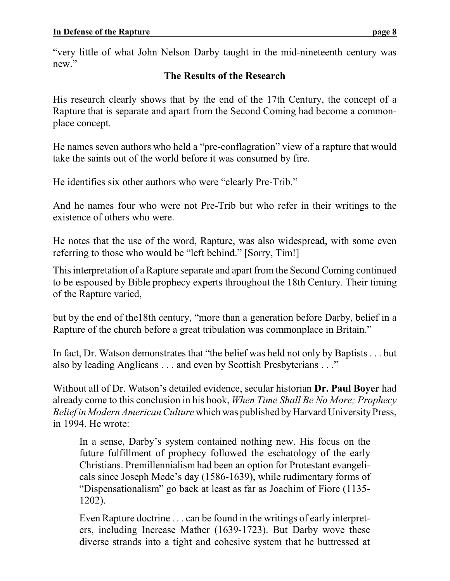"very little of what John Nelson Darby taught in the mid-nineteenth century was new."

## **The Results of the Research**

His research clearly shows that by the end of the 17th Century, the concept of a Rapture that is separate and apart from the Second Coming had become a commonplace concept.

He names seven authors who held a "pre-conflagration" view of a rapture that would take the saints out of the world before it was consumed by fire.

He identifies six other authors who were "clearly Pre-Trib."

And he names four who were not Pre-Trib but who refer in their writings to the existence of others who were.

He notes that the use of the word, Rapture, was also widespread, with some even referring to those who would be "left behind." [Sorry, Tim!]

This interpretation of a Rapture separate and apart from the Second Coming continued to be espoused by Bible prophecy experts throughout the 18th Century. Their timing of the Rapture varied,

but by the end of the18th century, "more than a generation before Darby, belief in a Rapture of the church before a great tribulation was commonplace in Britain."

In fact, Dr. Watson demonstrates that "the belief was held not only by Baptists . . . but also by leading Anglicans . . . and even by Scottish Presbyterians . . ."

Without all of Dr. Watson's detailed evidence, secular historian **Dr. Paul Boyer** had already come to this conclusion in his book, *When Time Shall Be No More; Prophecy Belief in Modern American Culture* which was published by Harvard University Press, in 1994. He wrote:

In a sense, Darby's system contained nothing new. His focus on the future fulfillment of prophecy followed the eschatology of the early Christians. Premillennialism had been an option for Protestant evangelicals since Joseph Mede's day (1586-1639), while rudimentary forms of "Dispensationalism" go back at least as far as Joachim of Fiore (1135- 1202).

Even Rapture doctrine . . . can be found in the writings of early interpreters, including Increase Mather (1639-1723). But Darby wove these diverse strands into a tight and cohesive system that he buttressed at